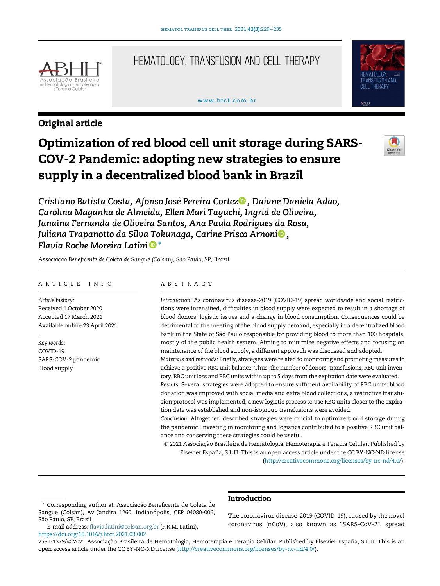

# Hematology, Transfusion and Cell Therapy

# www.htct.com.hr



# Original article

# Optimization of red blood cell unit storage during SARS-COV-2 Pandemic: adopting new strategies to ensure supply in a decentralized blood bank in Brazil



Cristiano Batista Costa, Afonso José Pereira Cortez<sup>o</sup>, Daiane Daniela Adão, [Carolina Maganha de Almeida, Ellen Mari Taguchi, Ingrid de Oliveira,](http://orcid.org/0000-0002-8994-6446) [Janaína Fernanda de Oliveira Santos, Ana Paula Rodrigues da Rosa,](http://orcid.org/0000-0002-8994-6446) [Juliana Trapanotto da Silva Tokunaga, Carine Prisco Arnoni](http://orcid.org/0000-0001-5270-3953)<sup>o</sup>[,](http://orcid.org/0000-0001-5270-3953) [Flavia Roche Moreira Latini](http://orcid.org/0000-0002-1566-2950)  $\blacksquare^*$  $\blacksquare^*$ 

Associação Beneficente de Coleta de Sangue (Colsan), São Paulo, SP, Brazil

# ARTICLE INFO

Article history: Received 1 October 2020 Accepted 17 March 2021 Available online 23 April 2021

Key words: COVID-19 SARS-COV-2 pandemic Blood supply

## ABSTRACT

Introduction: As coronavirus disease-2019 (COVID-19) spread worldwide and social restrictions were intensified, difficulties in blood supply were expected to result in a shortage of blood donors, logistic issues and a change in blood consumption. Consequences could be detrimental to the meeting of the blood supply demand, especially in a decentralized blood bank in the State of Sao Paulo responsible for providing blood to more than 100 hospitals, ~ mostly of the public health system. Aiming to minimize negative effects and focusing on maintenance of the blood supply, a different approach was discussed and adopted.

Materials and methods: Briefly, strategies were related to monitoring and promoting measures to achieve a positive RBC unit balance. Thus, the number of donors, transfusions, RBC unit inventory, RBC unit loss and RBC units within up to 5 days from the expiration date were evaluated.

Results: Several strategies were adopted to ensure sufficient availability of RBC units: blood donation was improved with social media and extra blood collections, a restrictive transfusion protocol was implemented, a new logistic process to use RBC units closer to the expiration date was established and non-isogroup transfusions were avoided.

Conclusion: Altogether, described strategies were crucial to optimize blood storage during the pandemic. Investing in monitoring and logistics contributed to a positive RBC unit balance and conserving these strategies could be useful.

 2021 Associação Brasileira de Hematologia, Hemoterapia e Terapia Celular. Published by Elsevier España, S.L.U. This is an open access article under the CC BY-NC-ND license [\(http://creativecommons.org/licenses/by-nc-nd/4.0/\)](http://creativecommons.org/licenses/by-nc-nd/4.0/).

# Introduction

The coronavirus disease-2019 (COVID-19), caused by the novel coronavirus (nCoV), also known as "SARS-CoV-2", spread

2531-1379/© 2021 Associação Brasileira de Hematologia, Hemoterapia e Terapia Celular. Published by Elsevier España, S.L.U. This is an open access article under the CC BY-NC-ND license [\(http://creativecommons.org/licenses/by-nc-nd/4.0/](http://creativecommons.org/licenses/by-nc-nd/4.0/)).

<span id="page-0-0"></span>Corresponding author at: Associação Beneficente de Coleta de Sangue (Colsan), Av Jandira 1260, Indianópolis, CEP 04080-006, São Paulo, SP, Brazil

E-mail address: fl[avia.latini@colsan.org.br](mailto:flavia.latini@colsan.org.br) (F.R.M. Latini). <https://doi.org/10.1016/j.htct.2021.03.002>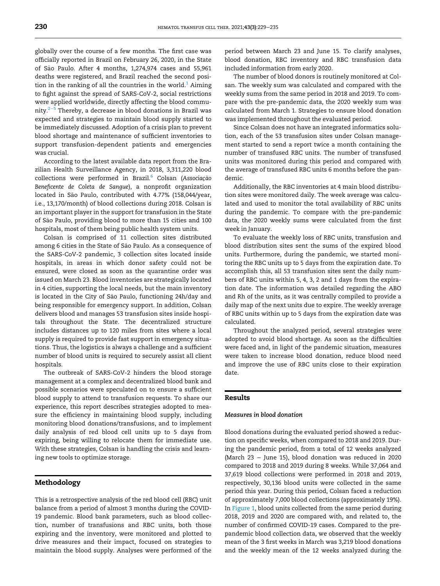globally over the course of a few months. The first case was officially reported in Brazil on February 26, 2020, in the State of Sao Paulo. After 4 months, 1,274,974 cases and 55,961 ~ deaths were registered, and Brazil reached the second position in the ranking of all the countries in the world. $1$  Aiming to fight against the spread of SARS-CoV-2, social restrictions were applied worldwide, directly affecting the blood community.2[−](#page-6-0)<sup>5</sup> Thereby, a decrease in blood donations in Brazil was expected and strategies to maintain blood supply started to be immediately discussed. Adoption of a crisis plan to prevent blood shortage and maintenance of sufficient inventories to support transfusion-dependent patients and emergencies was crucial.

According to the latest available data report from the Brazilian Health Surveillance Agency, in 2018, 3,311,220 blood collections were performed in Brazil.<sup>[6](#page-6-1)</sup> Colsan (Associação Beneficente de Coleta de Sangue), a nonprofit organization located in São Paulo, contributed with 4.77% (158,044/year, i.e., 13,170/month) of blood collections during 2018. Colsan is an important player in the support for transfusion in the State of São Paulo, providing blood to more than 15 cities and 100 hospitals, most of them being public health system units.

Colsan is comprised of 11 collection sites distributed among 6 cities in the State of São Paulo. As a consequence of the SARS-CoV-2 pandemic, 3 collection sites located inside hospitals, in areas in which donor safety could not be ensured, were closed as soon as the quarantine order was issued on March 23. Blood inventories are strategically located in 4 cities, supporting the local needs, but the main inventory is located in the City of São Paulo, functioning 24h/day and being responsible for emergency support. In addition, Colsan delivers blood and manages 53 transfusion sites inside hospitals throughout the State. The decentralized structure includes distances up to 120 miles from sites where a local supply is required to provide fast support in emergency situations. Thus, the logistics is always a challenge and a sufficient number of blood units is required to securely assist all client hospitals.

The outbreak of SARS-CoV-2 hinders the blood storage management at a complex and decentralized blood bank and possible scenarios were speculated on to ensure a sufficient blood supply to attend to transfusion requests. To share our experience, this report describes strategies adopted to measure the efficiency in maintaining blood supply, including monitoring blood donations/transfusions, and to implement daily analysis of red blood cell units up to 5 days from expiring, being willing to relocate them for immediate use. With these strategies, Colsan is handling the crisis and learning new tools to optimize storage.

# Methodology

This is a retrospective analysis of the red blood cell (RBC) unit balance from a period of almost 3 months during the COVID-19 pandemic. Blood bank parameters, such as blood collection, number of transfusions and RBC units, both those expiring and the inventory, were monitored and plotted to drive measures and their impact, focused on strategies to maintain the blood supply. Analyses were performed of the

period between March 23 and June 15. To clarify analyses, blood donation, RBC inventory and RBC transfusion data included information from early 2020.

The number of blood donors is routinely monitored at Colsan. The weekly sum was calculated and compared with the weekly sums from the same period in 2018 and 2019. To compare with the pre-pandemic data, the 2020 weekly sum was calculated from March 1. Strategies to ensure blood donation was implemented throughout the evaluated period.

Since Colsan does not have an integrated informatics solution, each of the 53 transfusion sites under Colsan management started to send a report twice a month containing the number of transfused RBC units. The number of transfused units was monitored during this period and compared with the average of transfused RBC units 6 months before the pandemic.

Additionally, the RBC inventories at 4 main blood distribution sites were monitored daily. The week average was calculated and used to monitor the total availability of RBC units during the pandemic. To compare with the pre-pandemic data, the 2020 weekly sums were calculated from the first week in January.

To evaluate the weekly loss of RBC units, transfusion and blood distribution sites sent the sums of the expired blood units. Furthermore, during the pandemic, we started monitoring the RBC units up to 5 days from the expiration date. To accomplish this, all 53 transfusion sites sent the daily numbers of RBC units within 5, 4, 3, 2 and 1 days from the expiration date. The information was detailed regarding the ABO and Rh of the units, as it was centrally compiled to provide a daily map of the next units due to expire. The weekly average of RBC units within up to 5 days from the expiration date was calculated.

Throughout the analyzed period, several strategies were adopted to avoid blood shortage. As soon as the difficulties were faced and, in light of the pandemic situation, measures were taken to increase blood donation, reduce blood need and improve the use of RBC units close to their expiration date.

## Results

# Measures in blood donation

Blood donations during the evaluated period showed a reduction on specific weeks, when compared to 2018 and 2019. During the pandemic period, from a total of 12 weeks analyzed (March 23 − June 15), blood donation was reduced in 2020 compared to 2018 and 2019 during 8 weeks. While 37,064 and 37,619 blood collections were performed in 2018 and 2019, respectively, 30,136 blood units were collected in the same period this year. During this period, Colsan faced a reduction of approximately 7,000 blood collections (approximately 19%). In [Figure 1](#page-2-0), blood units collected from the same period during 2018, 2019 and 2020 are compared with, and related to, the number of confirmed COVID-19 cases. Compared to the prepandemic blood collection data, we observed that the weekly mean of the 3 first weeks in March was 3,219 blood donations and the weekly mean of the 12 weeks analyzed during the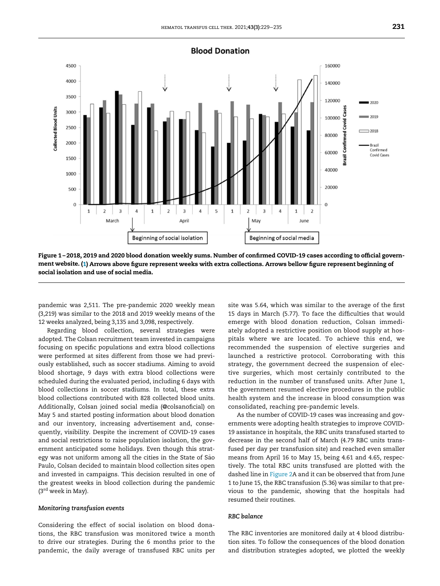<span id="page-2-0"></span>

Figure 1 – 2018, 2019 and 2020 blood donation weekly sums. Number of confirmed COVID-19 cases according to official government website. [\(1\)](#page-5-0) Arrows above figure represent weeks with extra collections. Arrows bellow figure represent beginning of social isolation and use of social media.

pandemic was 2,511. The pre-pandemic 2020 weekly mean (3,219) was similar to the 2018 and 2019 weekly means of the 12 weeks analyzed, being 3,135 and 3,098, respectively.

Regarding blood collection, several strategies were adopted. The Colsan recruitment team invested in campaigns focusing on specific populations and extra blood collections were performed at sites different from those we had previously established, such as soccer stadiums. Aiming to avoid blood shortage, 9 days with extra blood collections were scheduled during the evaluated period, including 6 days with blood collections in soccer stadiums. In total, these extra blood collections contributed with 828 collected blood units. Additionally, Colsan joined social media (@colsanoficial) on May 5 and started posting information about blood donation and our inventory, increasing advertisement and, consequently, visibility. Despite the increment of COVID-19 cases and social restrictions to raise population isolation, the government anticipated some holidays. Even though this strategy was not uniform among all the cities in the State of São Paulo, Colsan decided to maintain blood collection sites open and invested in campaigns. This decision resulted in one of the greatest weeks in blood collection during the pandemic  $(3<sup>rd</sup>$  week in May).

#### Monitoring transfusion events

Considering the effect of social isolation on blood donations, the RBC transfusion was monitored twice a month to drive our strategies. During the 6 months prior to the pandemic, the daily average of transfused RBC units per site was 5.64, which was similar to the average of the first 15 days in March (5.77). To face the difficulties that would emerge with blood donation reduction, Colsan immediately adopted a restrictive position on blood supply at hospitals where we are located. To achieve this end, we recommended the suspension of elective surgeries and launched a restrictive protocol. Corroborating with this strategy, the government decreed the suspension of elective surgeries, which most certainly contributed to the reduction in the number of transfused units. After June 1, the government resumed elective procedures in the public health system and the increase in blood consumption was consolidated, reaching pre-pandemic levels.

As the number of COVID-19 cases was increasing and governments were adopting health strategies to improve COVID-19 assistance in hospitals, the RBC units transfused started to decrease in the second half of March (4.79 RBC units transfused per day per transfusion site) and reached even smaller means from April 16 to May 15, being 4.61 and 4.65, respectively. The total RBC units transfused are plotted with the dashed line in [Figure 2A](#page-3-0) and it can be observed that from June 1 to June 15, the RBC transfusion (5.36) was similar to that previous to the pandemic, showing that the hospitals had resumed their routines.

# RBC balance

The RBC inventories are monitored daily at 4 blood distribution sites. To follow the consequences of the blood donation and distribution strategies adopted, we plotted the weekly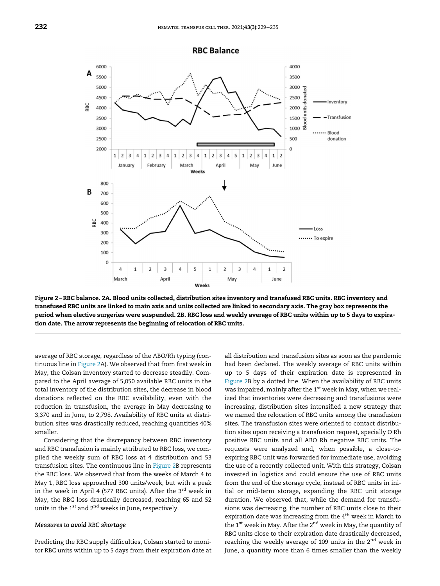<span id="page-3-0"></span>

Figure 2 – RBC balance. 2A. Blood units collected, distribution sites inventory and transfused RBC units. RBC inventory and transfused RBC units are linked to main axis and units collected are linked to secondary axis. The gray box represents the period when elective surgeries were suspended. 2B. RBC loss and weekly average of RBC units within up to 5 days to expiration date. The arrow represents the beginning of relocation of RBC units.

average of RBC storage, regardless of the ABO/Rh typing (continuous line in [Figure 2A](#page-3-0)). We observed that from first week in May, the Colsan inventory started to decrease steadily. Compared to the April average of 5,050 available RBC units in the total inventory of the distribution sites, the decrease in blood donations reflected on the RBC availability, even with the reduction in transfusion, the average in May decreasing to 3,370 and in June, to 2,798. Availability of RBC units at distribution sites was drastically reduced, reaching quantities 40% smaller.

Considering that the discrepancy between RBC inventory and RBC transfusion is mainly attributed to RBC loss, we compiled the weekly sum of RBC loss at 4 distribution and 53 transfusion sites. The continuous line in [Figure 2B](#page-3-0) represents the RBC loss. We observed that from the weeks of March 4 to May 1, RBC loss approached 300 units/week, but with a peak in the week in April 4 (577 RBC units). After the  $3<sup>rd</sup>$  week in May, the RBC loss drastically decreased, reaching 65 and 52 units in the 1<sup>st</sup> and 2<sup>nd</sup> weeks in June, respectively.

# Measures to avoid RBC shortage

Predicting the RBC supply difficulties, Colsan started to monitor RBC units within up to 5 days from their expiration date at all distribution and transfusion sites as soon as the pandemic had been declared. The weekly average of RBC units within up to 5 days of their expiration date is represented in [Figure 2](#page-3-0)B by a dotted line. When the availability of RBC units was impaired, mainly after the  $1<sup>st</sup>$  week in May, when we realized that inventories were decreasing and transfusions were increasing, distribution sites intensified a new strategy that we named the relocation of RBC units among the transfusion sites. The transfusion sites were oriented to contact distribution sites upon receiving a transfusion request, specially O Rh positive RBC units and all ABO Rh negative RBC units. The requests were analyzed and, when possible, a close-toexpiring RBC unit was forwarded for immediate use, avoiding the use of a recently collected unit. With this strategy, Colsan invested in logistics and could ensure the use of RBC units from the end of the storage cycle, instead of RBC units in initial or mid-term storage, expanding the RBC unit storage duration. We observed that, while the demand for transfusions was decreasing, the number of RBC units close to their expiration date was increasing from the  $4<sup>th</sup>$  week in March to the 1<sup>st</sup> week in May. After the 2<sup>nd</sup> week in May, the quantity of RBC units close to their expiration date drastically decreased, reaching the weekly average of 109 units in the 2<sup>nd</sup> week in June, a quantity more than 6 times smaller than the weekly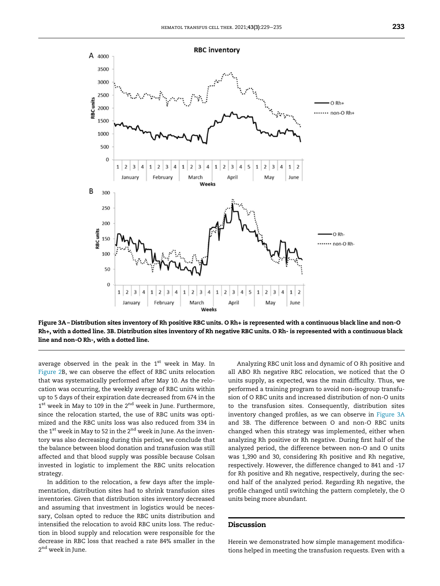

<span id="page-4-0"></span>

Figure 3A – Distribution sites inventory of Rh positive RBC units. O Rh+ is represented with a continuous black line and non-O Rh+, with a dotted line. 3B. Distribution sites inventory of Rh negative RBC units. O Rh- is represented with a continuous black line and non-O Rh-, with a dotted line.

average observed in the peak in the 1<sup>st</sup> week in May. In [Figure 2B](#page-3-0), we can observe the effect of RBC units relocation that was systematically performed after May 10. As the relocation was occurring, the weekly average of RBC units within up to 5 days of their expiration date decreased from 674 in the  $1^{\text{st}}$  week in May to 109 in the  $2^{\text{nd}}$  week in June. Furthermore, since the relocation started, the use of RBC units was optimized and the RBC units loss was also reduced from 334 in the  $1^{\text{st}}$  week in May to 52 in the  $2^{\text{nd}}$  week in June. As the inventory was also decreasing during this period, we conclude that the balance between blood donation and transfusion was still affected and that blood supply was possible because Colsan invested in logistic to implement the RBC units relocation strategy.

In addition to the relocation, a few days after the implementation, distribution sites had to shrink transfusion sites inventories. Given that distribution sites inventory decreased and assuming that investment in logistics would be necessary, Colsan opted to reduce the RBC units distribution and intensified the relocation to avoid RBC units loss. The reduction in blood supply and relocation were responsible for the decrease in RBC loss that reached a rate 84% smaller in the 2<sup>nd</sup> week in June.

Analyzing RBC unit loss and dynamic of O Rh positive and all ABO Rh negative RBC relocation, we noticed that the O units supply, as expected, was the main difficulty. Thus, we performed a training program to avoid non-isogroup transfusion of O RBC units and increased distribution of non-O units to the transfusion sites. Consequently, distribution sites inventory changed profiles, as we can observe in [Figure 3A](#page-4-0) and 3B. The difference between O and non-O RBC units changed when this strategy was implemented, either when analyzing Rh positive or Rh negative. During first half of the analyzed period, the difference between non-O and O units was 1,390 and 30, considering Rh positive and Rh negative, respectively. However, the difference changed to 841 and -17 for Rh positive and Rh negative, respectively, during the second half of the analyzed period. Regarding Rh negative, the profile changed until switching the pattern completely, the O units being more abundant.

# Discussion

Herein we demonstrated how simple management modifications helped in meeting the transfusion requests. Even with a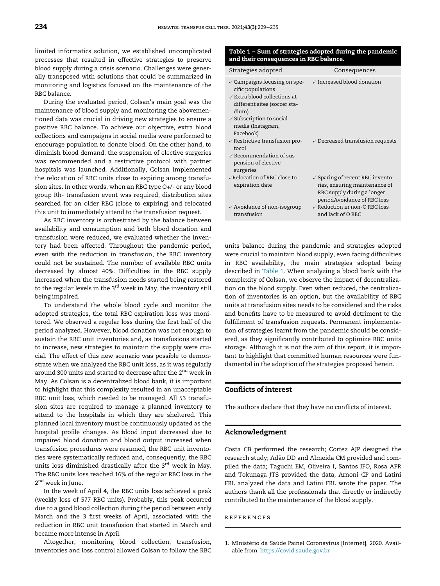<span id="page-5-1"></span>limited informatics solution, we established uncomplicated processes that resulted in effective strategies to preserve blood supply during a crisis scenario. Challenges were generally transposed with solutions that could be summarized in monitoring and logistics focused on the maintenance of the RBC balance.

During the evaluated period, Colsan's main goal was the maintenance of blood supply and monitoring the abovementioned data was crucial in driving new strategies to ensure a positive RBC balance. To achieve our objective, extra blood collections and campaigns in social media were performed to encourage population to donate blood. On the other hand, to diminish blood demand, the suspension of elective surgeries was recommended and a restrictive protocol with partner hospitals was launched. Additionally, Colsan implemented the relocation of RBC units close to expiring among transfusion sites. In other words, when an RBC type O+/- or any blood group Rh- transfusion event was required, distribution sites searched for an older RBC (close to expiring) and relocated this unit to immediately attend to the transfusion request.

As RBC inventory is orchestrated by the balance between availability and consumption and both blood donation and transfusion were reduced, we evaluated whether the inventory had been affected. Throughout the pandemic period, even with the reduction in transfusion, the RBC inventory could not be sustained. The number of available RBC units decreased by almost 40%. Difficulties in the RBC supply increased when the transfusion needs started being restored to the regular levels in the  $3<sup>rd</sup>$  week in May, the inventory still being impaired.

To understand the whole blood cycle and monitor the adopted strategies, the total RBC expiration loss was monitored. We observed a regular loss during the first half of the period analyzed. However, blood donation was not enough to sustain the RBC unit inventories and, as transfusions started to increase, new strategies to maintain the supply were crucial. The effect of this new scenario was possible to demonstrate when we analyzed the RBC unit loss, as it was regularly around 300 units and started to decrease after the 2<sup>nd</sup> week in May. As Colsan is a decentralized blood bank, it is important to highlight that this complexity resulted in an unacceptable RBC unit loss, which needed to be managed. All 53 transfusion sites are required to manage a planned inventory to attend to the hospitals in which they are sheltered. This planned local inventory must be continuously updated as the hospital profile changes. As blood input decreased due to impaired blood donation and blood output increased when transfusion procedures were resumed, the RBC unit inventories were systematically reduced and, consequently, the RBC units loss diminished drastically after the  $3<sup>rd</sup>$  week in May. The RBC units loss reached 16% of the regular RBC loss in the 2<sup>nd</sup> week in June.

In the week of April 4, the RBC units loss achieved a peak (weekly loss of 577 RBC units). Probably, this peak occurred due to a good blood collection during the period between early March and the 3 first weeks of April, associated with the reduction in RBC unit transfusion that started in March and became more intense in April.

<span id="page-5-0"></span>Altogether, monitoring blood collection, transfusion, inventories and loss control allowed Colsan to follow the RBC

# Table 1 – Sum of strategies adopted during the pandemic and their consequences in RBC balance.

| Strategies adopted                                                                                                                                                                                                             | Consequences                                                                                                                             |
|--------------------------------------------------------------------------------------------------------------------------------------------------------------------------------------------------------------------------------|------------------------------------------------------------------------------------------------------------------------------------------|
| $\sqrt{\frac{1}{2}}$ Campaigns focusing on spe-<br>cific populations<br>$\sqrt{2}$ Extra blood collections at<br>different sites (soccer sta-<br>dium)<br>$\sqrt{\ }$ Subscription to social<br>media (Instagram,<br>Facebook) | $\sqrt{}$ Increased blood donation                                                                                                       |
| $\sqrt{}$ Restrictive transfusion pro-<br>tocol<br>$\sqrt{2}$ Recommendation of sus-<br>pension of elective<br>surgeries                                                                                                       | $\sqrt{\phantom{a}}$ Decreased transfusion requests                                                                                      |
| √Relocation of RBC close to<br>expiration date                                                                                                                                                                                 | $\sqrt{\ }$ Sparing of recent RBC invento-<br>ries, ensuring maintenance of<br>RBC supply during a longer<br>periodAvoidance of RBC loss |
| $\sqrt{\phantom{a}}$ Avoidance of non-isogroup<br>transfusion                                                                                                                                                                  | $\sqrt{}$ Reduction in non-O RBC loss<br>and lack of ORBC                                                                                |

units balance during the pandemic and strategies adopted were crucial to maintain blood supply, even facing difficulties in RBC availability, the main strategies adopted being described in [Table 1.](#page-5-1) When analyzing a blood bank with the complexity of Colsan, we observe the impact of decentralization on the blood supply. Even when reduced, the centralization of inventories is an option, but the availability of RBC units at transfusion sites needs to be considered and the risks and benefits have to be measured to avoid detriment to the fulfillment of transfusion requests. Permanent implementation of strategies learnt from the pandemic should be considered, as they significantly contributed to optimize RBC units storage. Although it is not the aim of this report, it is important to highlight that committed human resources were fundamental in the adoption of the strategies proposed herein.

# Conflicts of interest

The authors declare that they have no conflicts of interest.

# Acknowledgment

Costa CB performed the research; Cortez AJP designed the research study; Adão DD and Almeida CM provided and compiled the data; Taguchi EM, Oliveira I, Santos JFO, Rosa APR and Tokunaga JTS provided the data; Arnoni CP and Latini FRL analyzed the data and Latini FRL wrote the paper. The authors thank all the professionals that directly or indirectly contributed to the maintenance of the blood supply.

**REFERENCES** 

<sup>1.</sup> MInistério da Saúde Painel Coronavírus [Internet], 2020. Available from: <https://covid.saude.gov.br>